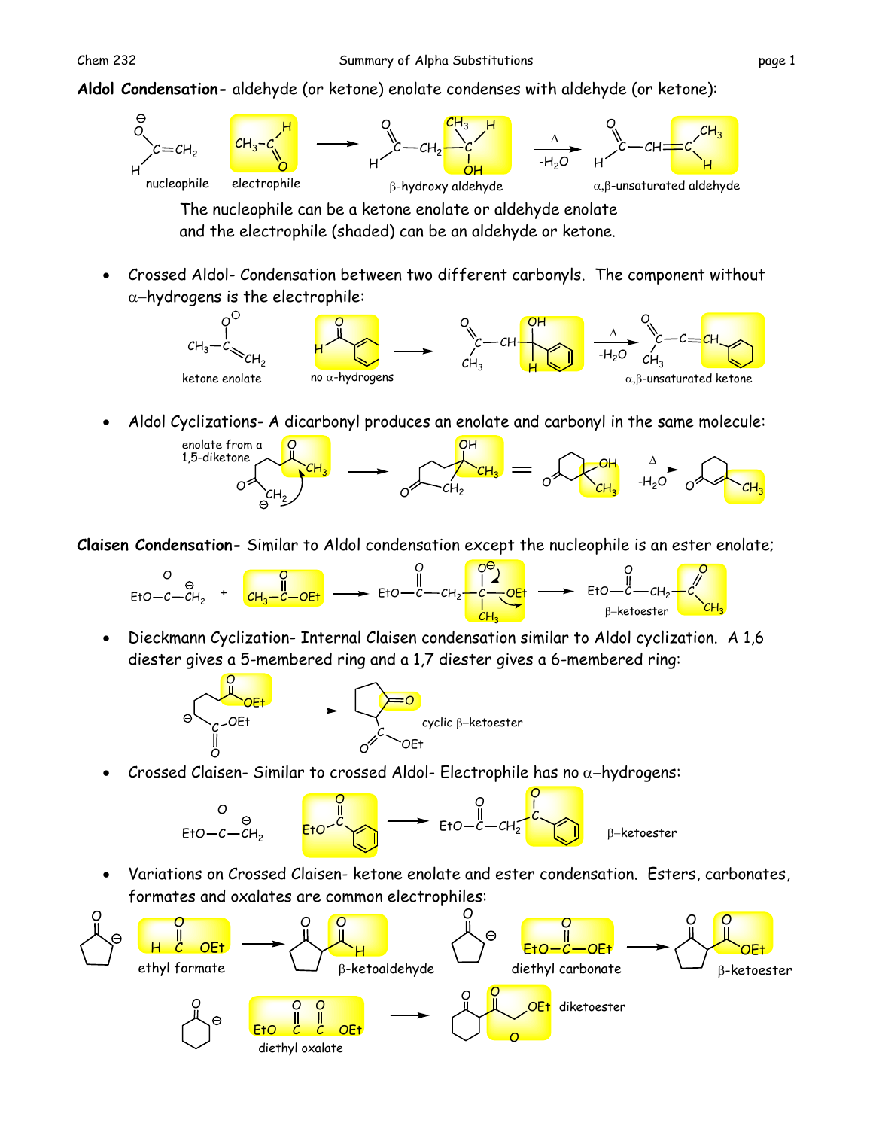**Aldol Condensation-** aldehyde (or ketone) enolate condenses with aldehyde (or ketone):



The nucleophile can be a ketone enolate or aldehyde enolate and the electrophile (shaded) can be an aldehyde or ketone.

 Crossed Aldol- Condensation between two different carbonyls. The component without  $\alpha$ -hydrogens is the electrophile:



Aldol Cyclizations- A dicarbonyl produces an enolate and carbonyl in the same molecule:



**Claisen Condensation-** Similar to Aldol condensation except the nucleophile is an ester enolate;



 Dieckmann Cyclization- Internal Claisen condensation similar to Aldol cyclization. A 1,6 diester gives a 5-membered ring and a 1,7 diester gives a 6-membered ring:



Crossed Claisen- Similar to crossed Aldol- Electrophile has no  $\alpha$ -hydrogens:



 Variations on Crossed Claisen- ketone enolate and ester condensation. Esters, carbonates, formates and oxalates are common electrophiles: